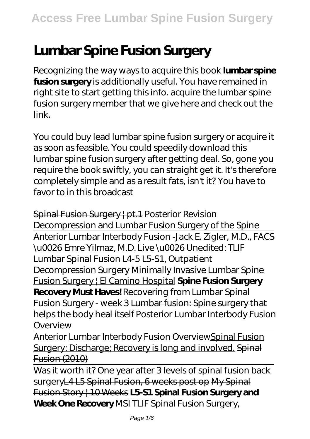# **Lumbar Spine Fusion Surgery**

Recognizing the way ways to acquire this book **lumbar spine fusion surgery** is additionally useful. You have remained in right site to start getting this info. acquire the lumbar spine fusion surgery member that we give here and check out the link.

You could buy lead lumbar spine fusion surgery or acquire it as soon as feasible. You could speedily download this lumbar spine fusion surgery after getting deal. So, gone you require the book swiftly, you can straight get it. It's therefore completely simple and as a result fats, isn't it? You have to favor to in this broadcast

Spinal Fusion Surgery | pt.1 Posterior Revision Decompression and Lumbar Fusion Surgery of the Spine Anterior Lumbar Interbody Fusion -Jack E. Zigler, M.D., FACS \u0026 Emre Yilmaz, M.D. *Live \u0026 Unedited: TLIF Lumbar Spinal Fusion L4-5 L5-S1, Outpatient Decompression Surgery* Minimally Invasive Lumbar Spine Fusion Surgery | El Camino Hospital **Spine Fusion Surgery Recovery Must Haves!** Recovering from Lumbar Spinal Fusion Surgery - week 3 Lumbar fusion: Spine surgery that helps the body heal itself *Posterior Lumbar Interbody Fusion Overview*

Anterior Lumbar Interbody Fusion OverviewSpinal Fusion Surgery: Discharge; Recovery is long and involved. Spinal Fusion (2010)

Was it worth it? One year after 3 levels of spinal fusion back surgeryL4 L5 Spinal Fusion, 6 weeks post op My Spinal Fusion Story | 10 Weeks **L5-S1 Spinal Fusion Surgery and Week One Recovery** *MSI TLIF Spinal Fusion Surgery,*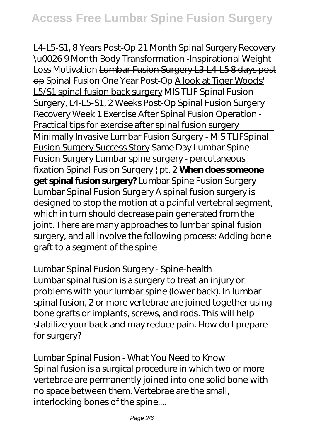*L4-L5-S1, 8 Years Post-Op 21 Month Spinal Surgery Recovery \u0026 9 Month Body Transformation -Inspirational Weight Loss Motivation* Lumbar Fusion Surgery L3-L4-L5 8 days post op *Spinal Fusion One Year Post-Op* A look at Tiger Woods' L5/S1 spinal fusion back surgery *MIS TLIF Spinal Fusion Surgery, L4-L5-S1, 2 Weeks Post-Op Spinal Fusion Surgery Recovery Week 1* Exercise After Spinal Fusion Operation - Practical tips for exercise after spinal fusion surgery Minimally Invasive Lumbar Fusion Surgery - MIS TLIFSpinal Fusion Surgery Success Story Same Day Lumbar Spine Fusion Surgery *Lumbar spine surgery - percutaneous fixation Spinal Fusion Surgery | pt. 2* **When does someone get spinal fusion surgery?** *Lumbar Spine Fusion Surgery* Lumbar Spinal Fusion Surgery A spinal fusion surgery is designed to stop the motion at a painful vertebral segment, which in turn should decrease pain generated from the joint. There are many approaches to lumbar spinal fusion surgery, and all involve the following process: Adding bone graft to a segment of the spine

#### *Lumbar Spinal Fusion Surgery - Spine-health*

Lumbar spinal fusion is a surgery to treat an injury or problems with your lumbar spine (lower back). In lumbar spinal fusion, 2 or more vertebrae are joined together using bone grafts or implants, screws, and rods. This will help stabilize your back and may reduce pain. How do I prepare for surgery?

*Lumbar Spinal Fusion - What You Need to Know* Spinal fusion is a surgical procedure in which two or more vertebrae are permanently joined into one solid bone with no space between them. Vertebrae are the small, interlocking bones of the spine....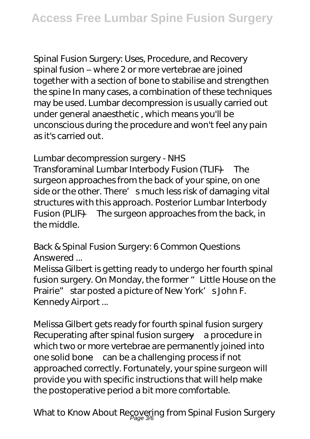*Spinal Fusion Surgery: Uses, Procedure, and Recovery* spinal fusion – where 2 or more vertebrae are joined together with a section of bone to stabilise and strengthen the spine In many cases, a combination of these techniques may be used. Lumbar decompression is usually carried out under general anaesthetic , which means you'll be unconscious during the procedure and won't feel any pain as it's carried out.

### *Lumbar decompression surgery - NHS*

Transforaminal Lumbar Interbody Fusion (TLIF) —The surgeon approaches from the back of your spine, on one side or the other. There' smuch less risk of damaging vital structures with this approach. Posterior Lumbar Interbody Fusion (PLIF) —The surgeon approaches from the back, in the middle.

# *Back & Spinal Fusion Surgery: 6 Common Questions Answered ...*

Melissa Gilbert is getting ready to undergo her fourth spinal fusion surgery. On Monday, the former "Little House on the Prairie" star posted a picture of New York' s John F. Kennedy Airport ...

*Melissa Gilbert gets ready for fourth spinal fusion surgery* Recuperating after spinal fusion surgery—a procedure in which two or more vertebrae are permanently joined into one solid bone—can be a challenging process if not approached correctly. Fortunately, your spine surgeon will provide you with specific instructions that will help make the postoperative period a bit more comfortable.

*What to Know About Recovering from Spinal Fusion Surgery* Page 3/6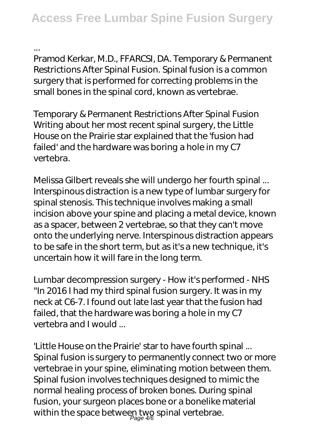*...*

Pramod Kerkar, M.D., FFARCSI, DA. Temporary & Permanent Restrictions After Spinal Fusion. Spinal fusion is a common surgery that is performed for correcting problems in the small bones in the spinal cord, known as vertebrae.

*Temporary & Permanent Restrictions After Spinal Fusion* Writing about her most recent spinal surgery, the Little House on the Prairie star explained that the 'fusion had failed' and the hardware was boring a hole in my C7 vertebra.

*Melissa Gilbert reveals she will undergo her fourth spinal ...* Interspinous distraction is a new type of lumbar surgery for spinal stenosis. This technique involves making a small incision above your spine and placing a metal device, known as a spacer, between 2 vertebrae, so that they can't move onto the underlying nerve. Interspinous distraction appears to be safe in the short term, but as it's a new technique, it's uncertain how it will fare in the long term.

*Lumbar decompression surgery - How it's performed - NHS* "In 2016 I had my third spinal fusion surgery. It was in my neck at C6-7. I found out late last year that the fusion had failed, that the hardware was boring a hole in my C7 vertebra and I would ...

*'Little House on the Prairie' star to have fourth spinal ...* Spinal fusion is surgery to permanently connect two or more vertebrae in your spine, eliminating motion between them. Spinal fusion involves techniques designed to mimic the normal healing process of broken bones. During spinal fusion, your surgeon places bone or a bonelike material within the space between two spinal vertebrae.<br>geals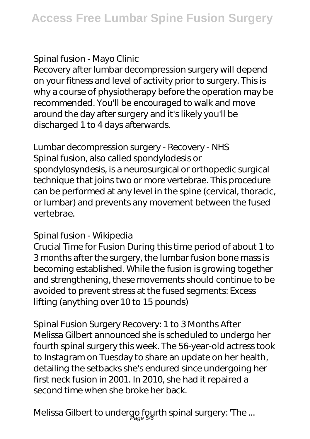# *Spinal fusion - Mayo Clinic*

Recovery after lumbar decompression surgery will depend on your fitness and level of activity prior to surgery. This is why a course of physiotherapy before the operation may be recommended. You'll be encouraged to walk and move around the day after surgery and it's likely you'll be discharged 1 to 4 days afterwards.

### *Lumbar decompression surgery - Recovery - NHS*

Spinal fusion, also called spondylodesis or spondylosyndesis, is a neurosurgical or orthopedic surgical technique that joins two or more vertebrae. This procedure can be performed at any level in the spine (cervical, thoracic, or lumbar) and prevents any movement between the fused vertebrae.

## *Spinal fusion - Wikipedia*

Crucial Time for Fusion During this time period of about 1 to 3 months after the surgery, the lumbar fusion bone mass is becoming established. While the fusion is growing together and strengthening, these movements should continue to be avoided to prevent stress at the fused segments: Excess lifting (anything over 10 to 15 pounds)

## *Spinal Fusion Surgery Recovery: 1 to 3 Months After*

Melissa Gilbert announced she is scheduled to undergo her fourth spinal surgery this week. The 56-year-old actress took to Instagram on Tuesday to share an update on her health, detailing the setbacks she's endured since undergoing her first neck fusion in 2001. In 2010, she had it repaired a second time when she broke her back.

*Melissa Gilbert to undergo fourth spinal surgery: 'The ...* Page 5/6